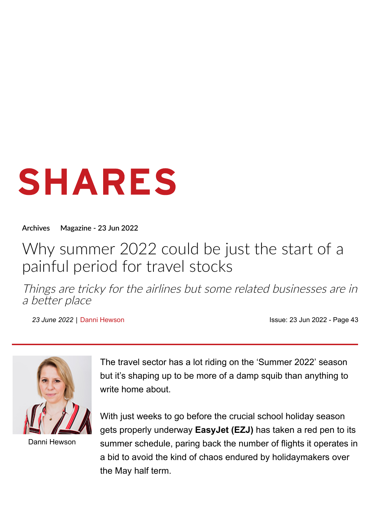# SHARES

**[Archives](https://www.sharesmagazine.co.uk/archives) [Magazine](https://www.sharesmagazine.co.uk/magazine/2022-06-23-Shares) - 23 Jun 2022**

# Why summer 2022 could be just the start of a painful period for travel stocks

Things are tricky for the airlines but some related businesses are in <sup>a</sup> better place

23 June 2022 | [Danni Hewson](https://www.sharesmagazine.co.uk/search/shares?articleSection%5B%5D=danni+hewson) **Issue: [23 Jun 2022](https://www.sharesmagazine.co.uk/magazine/2022-06-23-Shares) - Page 43** 



[Danni Hewson](https://www.sharesmagazine.co.uk/search/shares?author=17709)

The travel sector has a lot riding on the 'Summer 2022' season but it's shaping up to be more of a damp squib than anything to write home about.

With just weeks to go before the crucial school holiday season gets properly underway **EasyJet ([EZJ](https://www.sharesmagazine.co.uk/shares/share/EZJ))** has taken a red pen to its summer schedule, paring back the number of flights it operates in a bid to avoid the kind of chaos endured by holidaymakers over the May half term.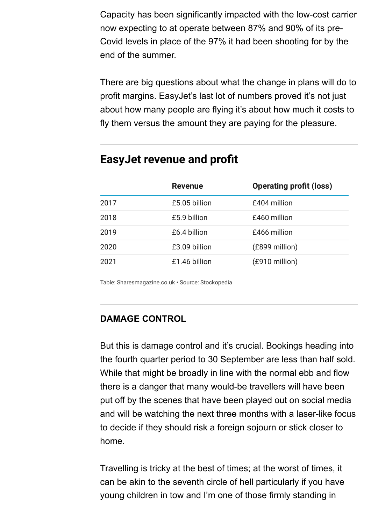Capacity has been significantly impacted with the low-cost carrier now expecting to at operate between 87% and 90% of its pre-Covid levels in place of the 97% it had been shooting for by the end of the summer.

There are big questions about what the change in plans will do to profit margins. EasyJet's last lot of numbers proved it's not just about how many people are flying it's about how much it costs to fly them versus the amount they are paying for the pleasure.

### **EasyJet revenue and profit**

|      | <b>Revenue</b> | <b>Operating profit (loss)</b> |
|------|----------------|--------------------------------|
| 2017 | £5.05 billion  | £404 million                   |
| 2018 | £5.9 billion   | £460 million                   |
| 2019 | £6.4 billion   | £466 million                   |
| 2020 | £3.09 billion  | (£899 million)                 |
| 2021 | £1.46 billion  | (£910 million)                 |

Table: Sharesmagazine.co.uk • Source: Stockopedia

#### **DAMAGE CONTROL**

But this is damage control and it's crucial. Bookings heading into the fourth quarter period to 30 September are less than half sold. While that might be broadly in line with the normal ebb and flow there is a danger that many would-be travellers will have been put off by the scenes that have been played out on social media and will be watching the next three months with a laser-like focus to decide if they should risk a foreign sojourn or stick closer to home.

Travelling is tricky at the best of times; at the worst of times, it can be akin to the seventh circle of hell particularly if you have young children in tow and I'm one of those firmly standing in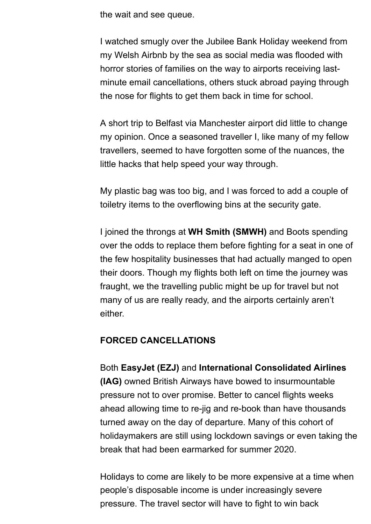the wait and see queue.

I watched smugly over the Jubilee Bank Holiday weekend from my Welsh Airbnb by the sea as social media was flooded with horror stories of families on the way to airports receiving lastminute email cancellations, others stuck abroad paying through the nose for flights to get them back in time for school.

A short trip to Belfast via Manchester airport did little to change my opinion. Once a seasoned traveller I, like many of my fellow travellers, seemed to have forgotten some of the nuances, the little hacks that help speed your way through.

My plastic bag was too big, and I was forced to add a couple of toiletry items to the overflowing bins at the security gate.

I joined the throngs at **WH Smith [\(SMWH\)](https://www.sharesmagazine.co.uk/shares/share/SMWH)** and Boots spending over the odds to replace them before fighting for a seat in one of the few hospitality businesses that had actually manged to open their doors. Though my flights both left on time the journey was fraught, we the travelling public might be up for travel but not many of us are really ready, and the airports certainly aren't either.

#### **FORCED CANCELLATIONS**

Both **EasyJet ([EZJ](https://www.sharesmagazine.co.uk/shares/share/EZJ))** and **International Consolidated Airlines ([IAG\)](https://www.sharesmagazine.co.uk/shares/share/IAG)** owned British Airways have bowed to insurmountable pressure not to over promise. Better to cancel flights weeks ahead allowing time to re-jig and re-book than have thousands turned away on the day of departure. Many of this cohort of holidaymakers are still using lockdown savings or even taking the break that had been earmarked for summer 2020.

Holidays to come are likely to be more expensive at a time when people's disposable income is under increasingly severe pressure. The travel sector will have to fight to win back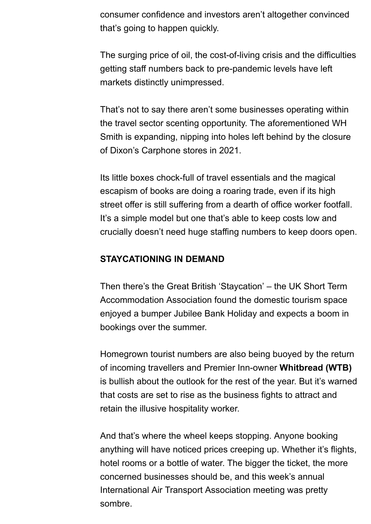consumer confidence and investors aren't altogether convinced that's going to happen quickly.

The surging price of oil, the cost-of-living crisis and the difficulties getting staff numbers back to pre-pandemic levels have left markets distinctly unimpressed.

That's not to say there aren't some businesses operating within the travel sector scenting opportunity. The aforementioned WH Smith is expanding, nipping into holes left behind by the closure of Dixon's Carphone stores in 2021.

Its little boxes chock-full of travel essentials and the magical escapism of books are doing a roaring trade, even if its high street offer is still suffering from a dearth of office worker footfall. It's a simple model but one that's able to keep costs low and crucially doesn't need huge staffing numbers to keep doors open.

#### **STAYCATIONING IN DEMAND**

Then there's the Great British 'Staycation' – the UK Short Term Accommodation Association found the domestic tourism space enjoyed a bumper Jubilee Bank Holiday and expects a boom in bookings over the summer.

Homegrown tourist numbers are also being buoyed by the return of incoming travellers and Premier Inn-owner **Whitbread [\(WTB\)](https://www.sharesmagazine.co.uk/shares/share/WTB)** is bullish about the outlook for the rest of the year. But it's warned that costs are set to rise as the business fights to attract and retain the illusive hospitality worker.

And that's where the wheel keeps stopping. Anyone booking anything will have noticed prices creeping up. Whether it's flights, hotel rooms or a bottle of water. The bigger the ticket, the more concerned businesses should be, and this week's annual International Air Transport Association meeting was pretty sombre.